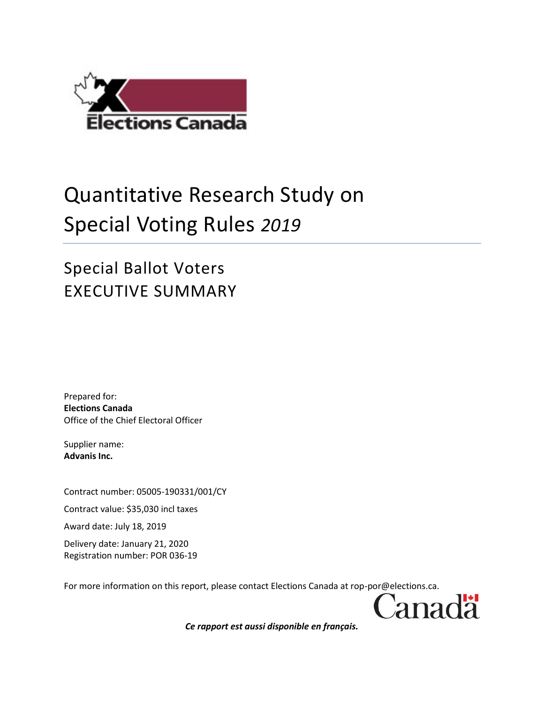

## Quantitative Research Study on Special Voting Rules *2019*

## Special Ballot Voters EXECUTIVE SUMMARY

Prepared for: **Elections Canada** Office of the Chief Electoral Officer

Supplier name: **Advanis Inc.**

Contract number: 05005-190331/001/CY

Contract value: \$35,030 incl taxes

Award date: July 18, 2019

Delivery date: January 21, 2020 Registration number: POR 036-19

For more information on this report, please contact Elections Canada at rop-por@elections.ca.



*Ce rapport est aussi disponible en français.*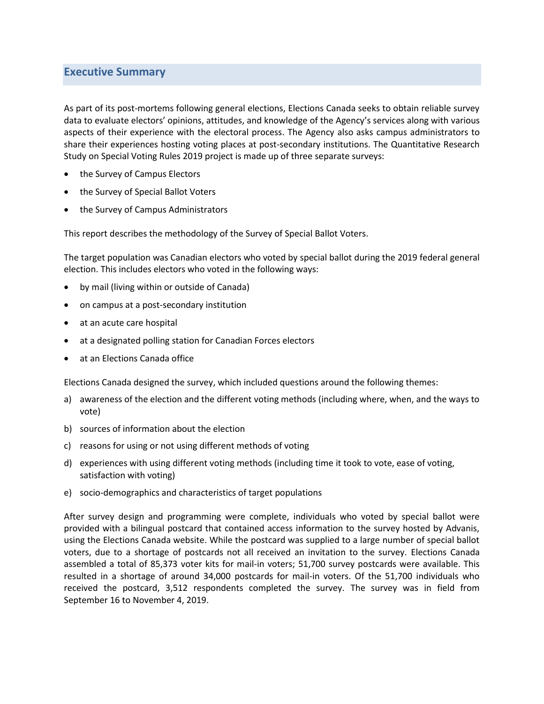## **Executive Summary**

As part of its post-mortems following general elections, Elections Canada seeks to obtain reliable survey data to evaluate electors' opinions, attitudes, and knowledge of the Agency's services along with various aspects of their experience with the electoral process. The Agency also asks campus administrators to share their experiences hosting voting places at post-secondary institutions. The Quantitative Research Study on Special Voting Rules 2019 project is made up of three separate surveys:

- the Survey of Campus Electors
- the Survey of Special Ballot Voters
- the Survey of Campus Administrators

This report describes the methodology of the Survey of Special Ballot Voters.

The target population was Canadian electors who voted by special ballot during the 2019 federal general election. This includes electors who voted in the following ways:

- by mail (living within or outside of Canada)
- on campus at a post-secondary institution
- at an acute care hospital
- at a designated polling station for Canadian Forces electors
- at an Elections Canada office

Elections Canada designed the survey, which included questions around the following themes:

- a) awareness of the election and the different voting methods (including where, when, and the ways to vote)
- b) sources of information about the election
- c) reasons for using or not using different methods of voting
- d) experiences with using different voting methods (including time it took to vote, ease of voting, satisfaction with voting)
- e) socio-demographics and characteristics of target populations

After survey design and programming were complete, individuals who voted by special ballot were provided with a bilingual postcard that contained access information to the survey hosted by Advanis, using the Elections Canada website. While the postcard was supplied to a large number of special ballot voters, due to a shortage of postcards not all received an invitation to the survey. Elections Canada assembled a total of 85,373 voter kits for mail-in voters; 51,700 survey postcards were available. This resulted in a shortage of around 34,000 postcards for mail-in voters. Of the 51,700 individuals who received the postcard, 3,512 respondents completed the survey. The survey was in field from September 16 to November 4, 2019.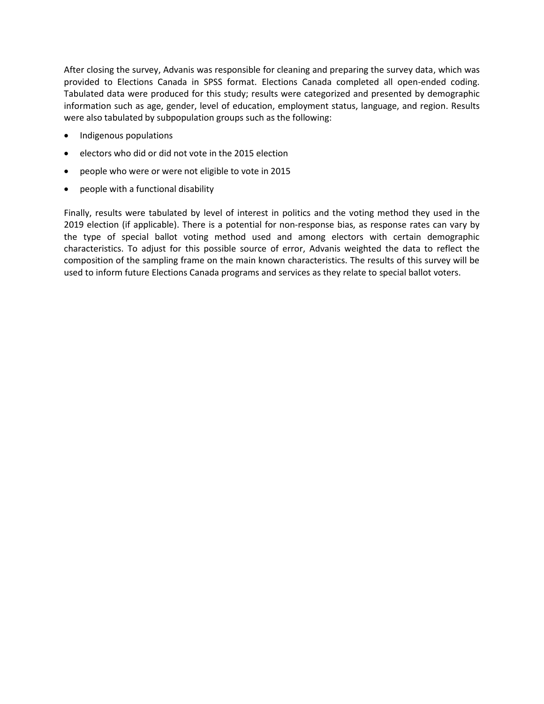After closing the survey, Advanis was responsible for cleaning and preparing the survey data, which was provided to Elections Canada in SPSS format. Elections Canada completed all open-ended coding. Tabulated data were produced for this study; results were categorized and presented by demographic information such as age, gender, level of education, employment status, language, and region. Results were also tabulated by subpopulation groups such as the following:

- Indigenous populations
- electors who did or did not vote in the 2015 election
- people who were or were not eligible to vote in 2015
- people with a functional disability

Finally, results were tabulated by level of interest in politics and the voting method they used in the 2019 election (if applicable). There is a potential for non-response bias, as response rates can vary by the type of special ballot voting method used and among electors with certain demographic characteristics. To adjust for this possible source of error, Advanis weighted the data to reflect the composition of the sampling frame on the main known characteristics. The results of this survey will be used to inform future Elections Canada programs and services as they relate to special ballot voters.